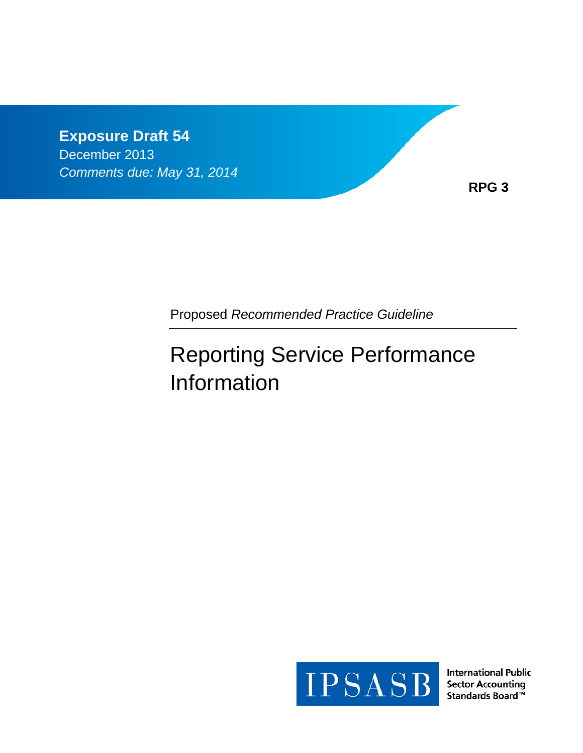**Exposure Draft 54** December 2013 *Comments due: May 31, 2014*

**RPG 3**

Proposed *Recommended Practice Guideline*

# Reporting Service Performance Information



**International Public Sector Accounting** Standards Board™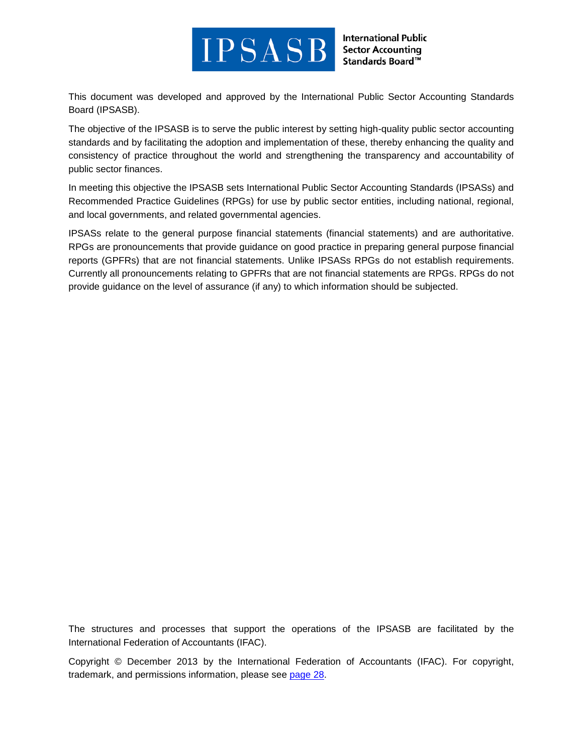

**International Public Sector Accounting** Standards Board™

This document was developed and approved by the International Public Sector Accounting Standards Board (IPSASB).

The objective of the IPSASB is to serve the public interest by setting high-quality public sector accounting standards and by facilitating the adoption and implementation of these, thereby enhancing the quality and consistency of practice throughout the world and strengthening the transparency and accountability of public sector finances.

In meeting this objective the IPSASB sets International Public Sector Accounting Standards (IPSASs) and Recommended Practice Guidelines (RPGs) for use by public sector entities, including national, regional, and local governments, and related governmental agencies.

IPSASs relate to the general purpose financial statements (financial statements) and are authoritative. RPGs are pronouncements that provide guidance on good practice in preparing general purpose financial reports (GPFRs) that are not financial statements. Unlike IPSASs RPGs do not establish requirements. Currently all pronouncements relating to GPFRs that are not financial statements are RPGs. RPGs do not provide guidance on the level of assurance (if any) to which information should be subjected.

The structures and processes that support the operations of the IPSASB are facilitated by the International Federation of Accountants (IFAC).

Copyright © December 2013 by the International Federation of Accountants (IFAC). For copyright, trademark, and permissions information, please see [page 28.](#page-27-0)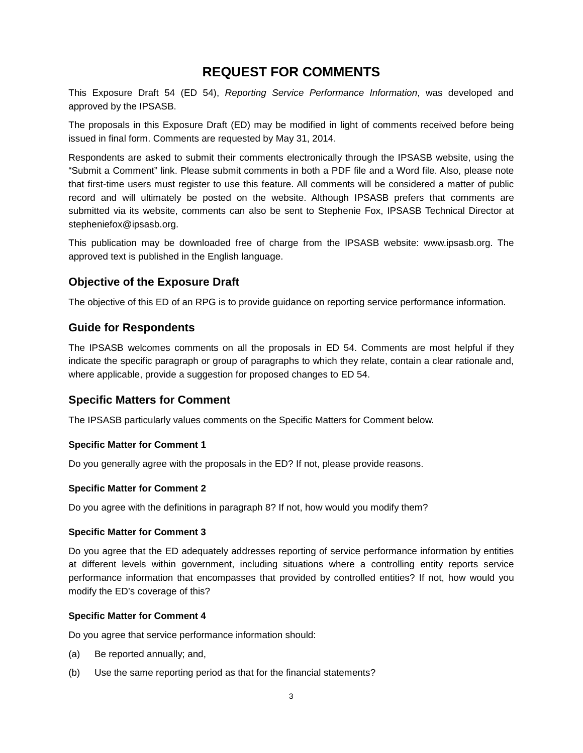## **REQUEST FOR COMMENTS**

This Exposure Draft 54 (ED 54), *Reporting Service Performance Information*, was developed and approved by the IPSASB.

The proposals in this Exposure Draft (ED) may be modified in light of comments received before being issued in final form. Comments are requested by May 31, 2014.

Respondents are asked to submit their comments electronically through the IPSASB website, using the "Submit a Comment" link. Please submit comments in both a PDF file and a Word file. Also, please note that first-time users must register to use this feature. All comments will be considered a matter of public record and will ultimately be posted on the website. Although IPSASB prefers that comments are submitted via its website, comments can also be sent to Stephenie Fox, IPSASB Technical Director at stepheniefox@ipsasb.org.

This publication may be downloaded free of charge from the IPSASB website: www.ipsasb.org. The approved text is published in the English language.

## **Objective of the Exposure Draft**

The objective of this ED of an RPG is to provide guidance on reporting service performance information.

## **Guide for Respondents**

The IPSASB welcomes comments on all the proposals in ED 54. Comments are most helpful if they indicate the specific paragraph or group of paragraphs to which they relate, contain a clear rationale and, where applicable, provide a suggestion for proposed changes to ED 54.

## **Specific Matters for Comment**

The IPSASB particularly values comments on the Specific Matters for Comment below.

#### **Specific Matter for Comment 1**

Do you generally agree with the proposals in the ED? If not, please provide reasons.

#### **Specific Matter for Comment 2**

Do you agree with the definitions in paragraph 8? If not, how would you modify them?

#### **Specific Matter for Comment 3**

Do you agree that the ED adequately addresses reporting of service performance information by entities at different levels within government, including situations where a controlling entity reports service performance information that encompasses that provided by controlled entities? If not, how would you modify the ED's coverage of this?

#### **Specific Matter for Comment 4**

Do you agree that service performance information should:

- (a) Be reported annually; and,
- (b) Use the same reporting period as that for the financial statements?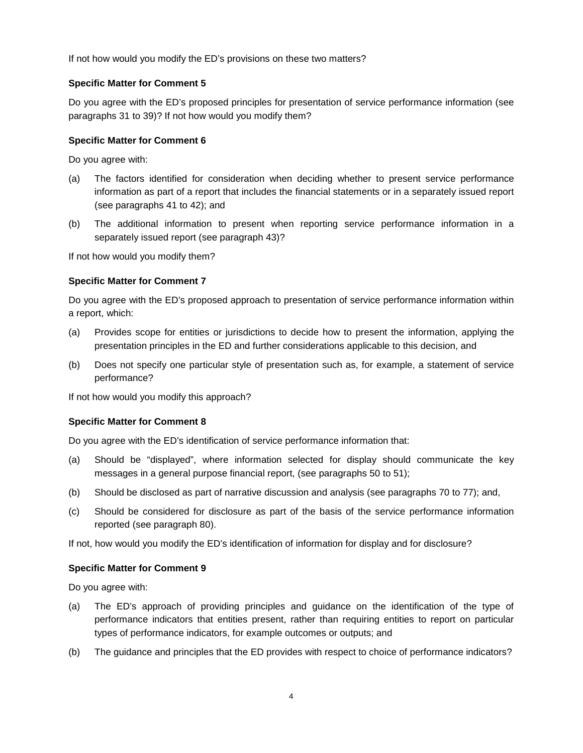If not how would you modify the ED's provisions on these two matters?

#### **Specific Matter for Comment 5**

Do you agree with the ED's proposed principles for presentation of service performance information (see paragraphs 31 to 39)? If not how would you modify them?

#### **Specific Matter for Comment 6**

Do you agree with:

- (a) The factors identified for consideration when deciding whether to present service performance information as part of a report that includes the financial statements or in a separately issued report (see paragraphs 41 to 42); and
- (b) The additional information to present when reporting service performance information in a separately issued report (see paragraph 43)?

If not how would you modify them?

#### **Specific Matter for Comment 7**

Do you agree with the ED's proposed approach to presentation of service performance information within a report, which:

- (a) Provides scope for entities or jurisdictions to decide how to present the information, applying the presentation principles in the ED and further considerations applicable to this decision, and
- (b) Does not specify one particular style of presentation such as, for example, a statement of service performance?

If not how would you modify this approach?

#### **Specific Matter for Comment 8**

Do you agree with the ED's identification of service performance information that:

- (a) Should be "displayed", where information selected for display should communicate the key messages in a general purpose financial report, (see paragraphs 50 to 51);
- (b) Should be disclosed as part of narrative discussion and analysis (see paragraphs 70 to 77); and,
- (c) Should be considered for disclosure as part of the basis of the service performance information reported (see paragraph 80).

If not, how would you modify the ED's identification of information for display and for disclosure?

#### **Specific Matter for Comment 9**

Do you agree with:

- (a) The ED's approach of providing principles and guidance on the identification of the type of performance indicators that entities present, rather than requiring entities to report on particular types of performance indicators, for example outcomes or outputs; and
- (b) The guidance and principles that the ED provides with respect to choice of performance indicators?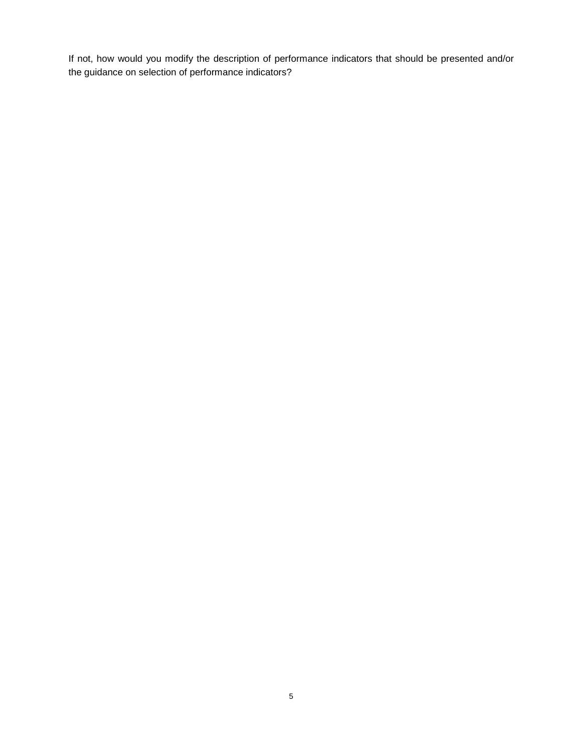If not, how would you modify the description of performance indicators that should be presented and/or the guidance on selection of performance indicators?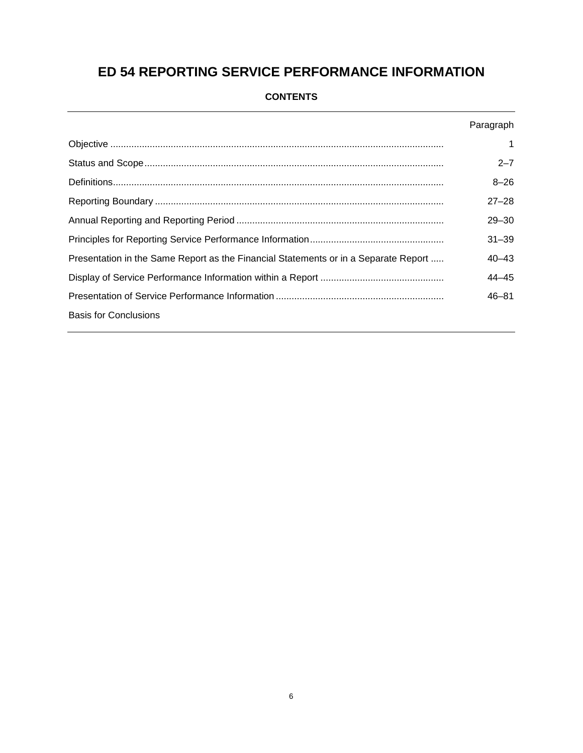# **ED 54 REPORTING SERVICE PERFORMANCE INFORMATION**

## **CONTENTS**

|                                                                                     | Paragraph |
|-------------------------------------------------------------------------------------|-----------|
|                                                                                     | 1         |
|                                                                                     | $2 - 7$   |
|                                                                                     | $8 - 26$  |
|                                                                                     | $27 - 28$ |
|                                                                                     | $29 - 30$ |
|                                                                                     | $31 - 39$ |
| Presentation in the Same Report as the Financial Statements or in a Separate Report | $40 - 43$ |
|                                                                                     | $44 - 45$ |
|                                                                                     | $46 - 81$ |
| <b>Basis for Conclusions</b>                                                        |           |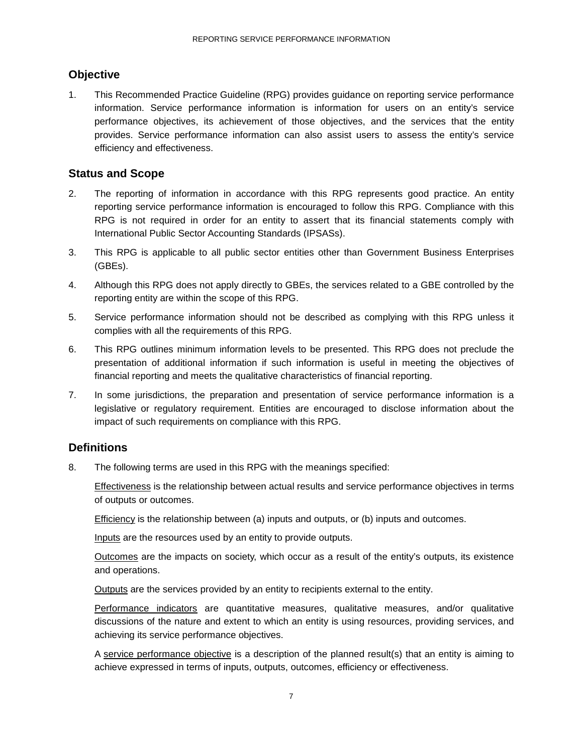## <span id="page-6-0"></span>**Objective**

1. This Recommended Practice Guideline (RPG) provides guidance on reporting service performance information. Service performance information is information for users on an entity's service performance objectives, its achievement of those objectives, and the services that the entity provides. Service performance information can also assist users to assess the entity's service efficiency and effectiveness.

## <span id="page-6-1"></span>**Status and Scope**

- 2. The reporting of information in accordance with this RPG represents good practice. An entity reporting service performance information is encouraged to follow this RPG. Compliance with this RPG is not required in order for an entity to assert that its financial statements comply with International Public Sector Accounting Standards (IPSASs).
- 3. This RPG is applicable to all public sector entities other than Government Business Enterprises (GBEs).
- 4. Although this RPG does not apply directly to GBEs, the services related to a GBE controlled by the reporting entity are within the scope of this RPG.
- 5. Service performance information should not be described as complying with this RPG unless it complies with all the requirements of this RPG.
- 6. This RPG outlines minimum information levels to be presented. This RPG does not preclude the presentation of additional information if such information is useful in meeting the objectives of financial reporting and meets the qualitative characteristics of financial reporting.
- 7. In some jurisdictions, the preparation and presentation of service performance information is a legislative or regulatory requirement. Entities are encouraged to disclose information about the impact of such requirements on compliance with this RPG.

## <span id="page-6-2"></span>**Definitions**

8. The following terms are used in this RPG with the meanings specified:

Effectiveness is the relationship between actual results and service performance objectives in terms of outputs or outcomes.

Efficiency is the relationship between (a) inputs and outputs, or (b) inputs and outcomes.

Inputs are the resources used by an entity to provide outputs.

Outcomes are the impacts on society, which occur as a result of the entity's outputs, its existence and operations.

Outputs are the services provided by an entity to recipients external to the entity.

Performance indicators are quantitative measures, qualitative measures, and/or qualitative discussions of the nature and extent to which an entity is using resources, providing services, and achieving its service performance objectives.

A service performance objective is a description of the planned result(s) that an entity is aiming to achieve expressed in terms of inputs, outputs, outcomes, efficiency or effectiveness.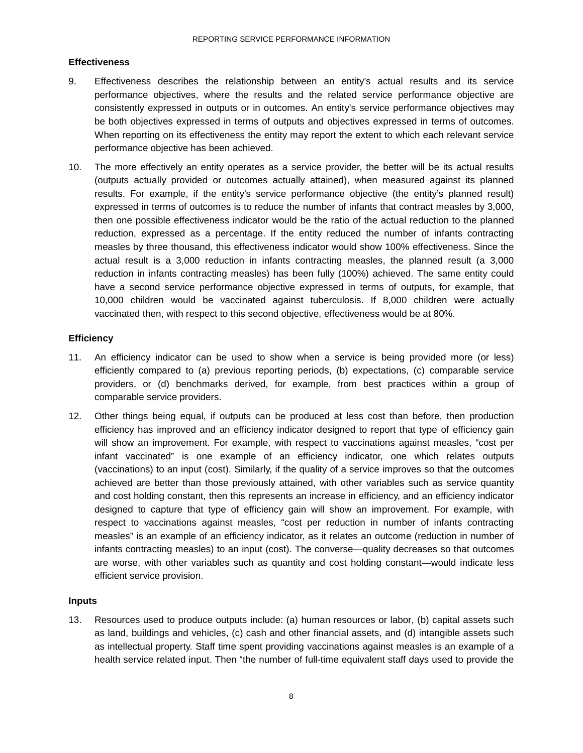#### **Effectiveness**

- 9. Effectiveness describes the relationship between an entity's actual results and its service performance objectives, where the results and the related service performance objective are consistently expressed in outputs or in outcomes. An entity's service performance objectives may be both objectives expressed in terms of outputs and objectives expressed in terms of outcomes. When reporting on its effectiveness the entity may report the extent to which each relevant service performance objective has been achieved.
- 10. The more effectively an entity operates as a service provider, the better will be its actual results (outputs actually provided or outcomes actually attained), when measured against its planned results. For example, if the entity's service performance objective (the entity's planned result) expressed in terms of outcomes is to reduce the number of infants that contract measles by 3,000, then one possible effectiveness indicator would be the ratio of the actual reduction to the planned reduction, expressed as a percentage. If the entity reduced the number of infants contracting measles by three thousand, this effectiveness indicator would show 100% effectiveness. Since the actual result is a 3,000 reduction in infants contracting measles, the planned result (a 3,000 reduction in infants contracting measles) has been fully (100%) achieved. The same entity could have a second service performance objective expressed in terms of outputs, for example, that 10,000 children would be vaccinated against tuberculosis. If 8,000 children were actually vaccinated then, with respect to this second objective, effectiveness would be at 80%.

#### **Efficiency**

- 11. An efficiency indicator can be used to show when a service is being provided more (or less) efficiently compared to (a) previous reporting periods, (b) expectations, (c) comparable service providers, or (d) benchmarks derived, for example, from best practices within a group of comparable service providers.
- 12. Other things being equal, if outputs can be produced at less cost than before, then production efficiency has improved and an efficiency indicator designed to report that type of efficiency gain will show an improvement. For example, with respect to vaccinations against measles, "cost per infant vaccinated" is one example of an efficiency indicator, one which relates outputs (vaccinations) to an input (cost). Similarly, if the quality of a service improves so that the outcomes achieved are better than those previously attained, with other variables such as service quantity and cost holding constant, then this represents an increase in efficiency, and an efficiency indicator designed to capture that type of efficiency gain will show an improvement. For example, with respect to vaccinations against measles, "cost per reduction in number of infants contracting measles" is an example of an efficiency indicator, as it relates an outcome (reduction in number of infants contracting measles) to an input (cost). The converse—quality decreases so that outcomes are worse, with other variables such as quantity and cost holding constant—would indicate less efficient service provision.

#### **Inputs**

13. Resources used to produce outputs include: (a) human resources or labor, (b) capital assets such as land, buildings and vehicles, (c) cash and other financial assets, and (d) intangible assets such as intellectual property. Staff time spent providing vaccinations against measles is an example of a health service related input. Then "the number of full-time equivalent staff days used to provide the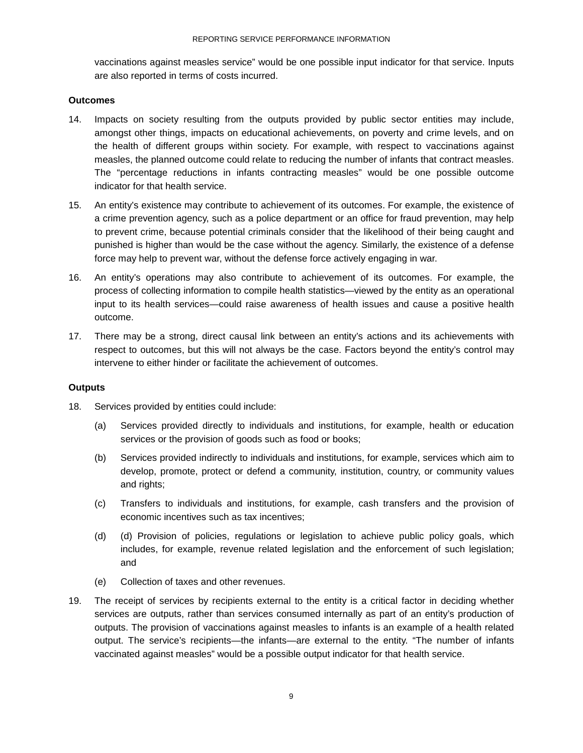vaccinations against measles service" would be one possible input indicator for that service. Inputs are also reported in terms of costs incurred.

#### **Outcomes**

- 14. Impacts on society resulting from the outputs provided by public sector entities may include, amongst other things, impacts on educational achievements, on poverty and crime levels, and on the health of different groups within society. For example, with respect to vaccinations against measles, the planned outcome could relate to reducing the number of infants that contract measles. The "percentage reductions in infants contracting measles" would be one possible outcome indicator for that health service.
- 15. An entity's existence may contribute to achievement of its outcomes. For example, the existence of a crime prevention agency, such as a police department or an office for fraud prevention, may help to prevent crime, because potential criminals consider that the likelihood of their being caught and punished is higher than would be the case without the agency. Similarly, the existence of a defense force may help to prevent war, without the defense force actively engaging in war.
- 16. An entity's operations may also contribute to achievement of its outcomes. For example, the process of collecting information to compile health statistics—viewed by the entity as an operational input to its health services—could raise awareness of health issues and cause a positive health outcome.
- 17. There may be a strong, direct causal link between an entity's actions and its achievements with respect to outcomes, but this will not always be the case. Factors beyond the entity's control may intervene to either hinder or facilitate the achievement of outcomes.

#### **Outputs**

- 18. Services provided by entities could include:
	- (a) Services provided directly to individuals and institutions, for example, health or education services or the provision of goods such as food or books;
	- (b) Services provided indirectly to individuals and institutions, for example, services which aim to develop, promote, protect or defend a community, institution, country, or community values and rights;
	- (c) Transfers to individuals and institutions, for example, cash transfers and the provision of economic incentives such as tax incentives;
	- (d) (d) Provision of policies, regulations or legislation to achieve public policy goals, which includes, for example, revenue related legislation and the enforcement of such legislation; and
	- (e) Collection of taxes and other revenues.
- 19. The receipt of services by recipients external to the entity is a critical factor in deciding whether services are outputs, rather than services consumed internally as part of an entity's production of outputs. The provision of vaccinations against measles to infants is an example of a health related output. The service's recipients—the infants—are external to the entity. "The number of infants vaccinated against measles" would be a possible output indicator for that health service.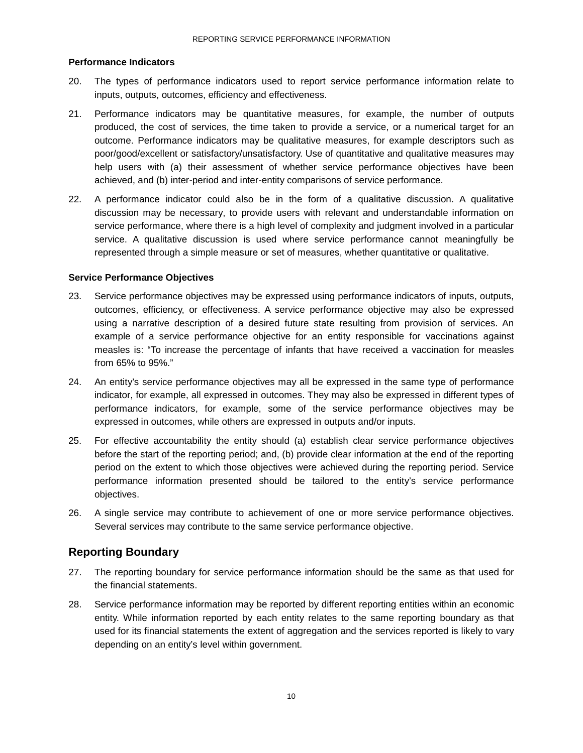#### **Performance Indicators**

- 20. The types of performance indicators used to report service performance information relate to inputs, outputs, outcomes, efficiency and effectiveness.
- 21. Performance indicators may be quantitative measures, for example, the number of outputs produced, the cost of services, the time taken to provide a service, or a numerical target for an outcome. Performance indicators may be qualitative measures, for example descriptors such as poor/good/excellent or satisfactory/unsatisfactory. Use of quantitative and qualitative measures may help users with (a) their assessment of whether service performance objectives have been achieved, and (b) inter-period and inter-entity comparisons of service performance.
- 22. A performance indicator could also be in the form of a qualitative discussion. A qualitative discussion may be necessary, to provide users with relevant and understandable information on service performance, where there is a high level of complexity and judgment involved in a particular service. A qualitative discussion is used where service performance cannot meaningfully be represented through a simple measure or set of measures, whether quantitative or qualitative.

#### **Service Performance Objectives**

- 23. Service performance objectives may be expressed using performance indicators of inputs, outputs, outcomes, efficiency, or effectiveness. A service performance objective may also be expressed using a narrative description of a desired future state resulting from provision of services. An example of a service performance objective for an entity responsible for vaccinations against measles is: "To increase the percentage of infants that have received a vaccination for measles from 65% to 95%."
- 24. An entity's service performance objectives may all be expressed in the same type of performance indicator, for example, all expressed in outcomes. They may also be expressed in different types of performance indicators, for example, some of the service performance objectives may be expressed in outcomes, while others are expressed in outputs and/or inputs.
- 25. For effective accountability the entity should (a) establish clear service performance objectives before the start of the reporting period; and, (b) provide clear information at the end of the reporting period on the extent to which those objectives were achieved during the reporting period. Service performance information presented should be tailored to the entity's service performance objectives.
- 26. A single service may contribute to achievement of one or more service performance objectives. Several services may contribute to the same service performance objective.

## <span id="page-9-0"></span>**Reporting Boundary**

- 27. The reporting boundary for service performance information should be the same as that used for the financial statements.
- 28. Service performance information may be reported by different reporting entities within an economic entity. While information reported by each entity relates to the same reporting boundary as that used for its financial statements the extent of aggregation and the services reported is likely to vary depending on an entity's level within government.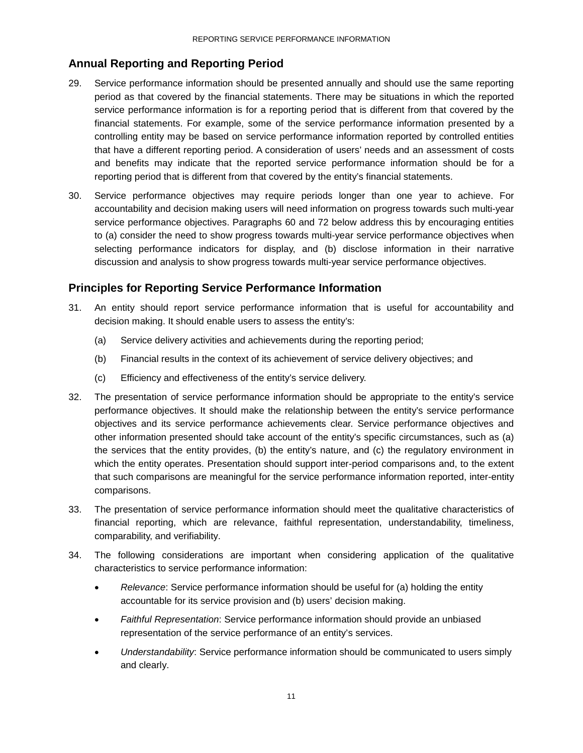## <span id="page-10-0"></span>**Annual Reporting and Reporting Period**

- 29. Service performance information should be presented annually and should use the same reporting period as that covered by the financial statements. There may be situations in which the reported service performance information is for a reporting period that is different from that covered by the financial statements. For example, some of the service performance information presented by a controlling entity may be based on service performance information reported by controlled entities that have a different reporting period. A consideration of users' needs and an assessment of costs and benefits may indicate that the reported service performance information should be for a reporting period that is different from that covered by the entity's financial statements.
- 30. Service performance objectives may require periods longer than one year to achieve. For accountability and decision making users will need information on progress towards such multi-year service performance objectives. Paragraphs 60 and 72 below address this by encouraging entities to (a) consider the need to show progress towards multi-year service performance objectives when selecting performance indicators for display, and (b) disclose information in their narrative discussion and analysis to show progress towards multi-year service performance objectives.

## <span id="page-10-1"></span>**Principles for Reporting Service Performance Information**

- 31. An entity should report service performance information that is useful for accountability and decision making. It should enable users to assess the entity's:
	- (a) Service delivery activities and achievements during the reporting period;
	- (b) Financial results in the context of its achievement of service delivery objectives; and
	- (c) Efficiency and effectiveness of the entity's service delivery.
- 32. The presentation of service performance information should be appropriate to the entity's service performance objectives. It should make the relationship between the entity's service performance objectives and its service performance achievements clear. Service performance objectives and other information presented should take account of the entity's specific circumstances, such as (a) the services that the entity provides, (b) the entity's nature, and (c) the regulatory environment in which the entity operates. Presentation should support inter-period comparisons and, to the extent that such comparisons are meaningful for the service performance information reported, inter-entity comparisons.
- 33. The presentation of service performance information should meet the qualitative characteristics of financial reporting, which are relevance, faithful representation, understandability, timeliness, comparability, and verifiability.
- 34. The following considerations are important when considering application of the qualitative characteristics to service performance information:
	- *Relevance*: Service performance information should be useful for (a) holding the entity accountable for its service provision and (b) users' decision making.
	- *Faithful Representation*: Service performance information should provide an unbiased representation of the service performance of an entity's services.
	- *Understandability*: Service performance information should be communicated to users simply and clearly.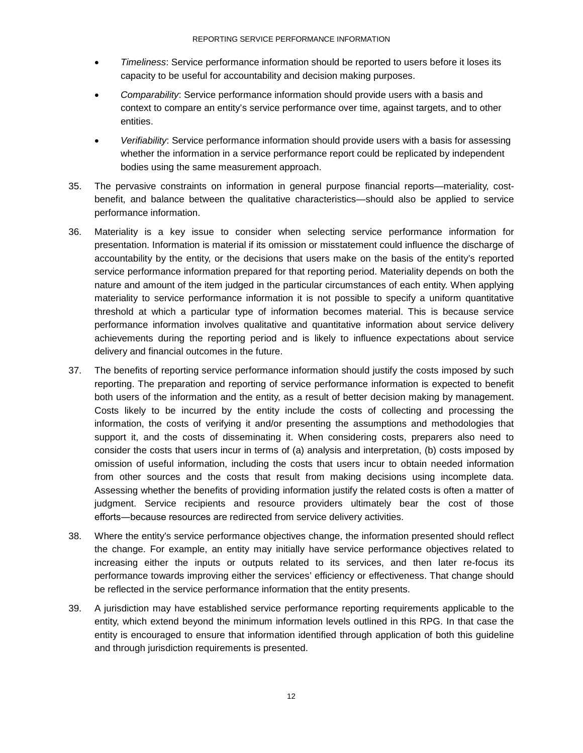- *Timeliness*: Service performance information should be reported to users before it loses its capacity to be useful for accountability and decision making purposes.
- *Comparability*: Service performance information should provide users with a basis and context to compare an entity's service performance over time, against targets, and to other entities.
- *Verifiability*: Service performance information should provide users with a basis for assessing whether the information in a service performance report could be replicated by independent bodies using the same measurement approach.
- 35. The pervasive constraints on information in general purpose financial reports—materiality, costbenefit, and balance between the qualitative characteristics—should also be applied to service performance information.
- 36. Materiality is a key issue to consider when selecting service performance information for presentation. Information is material if its omission or misstatement could influence the discharge of accountability by the entity, or the decisions that users make on the basis of the entity's reported service performance information prepared for that reporting period. Materiality depends on both the nature and amount of the item judged in the particular circumstances of each entity. When applying materiality to service performance information it is not possible to specify a uniform quantitative threshold at which a particular type of information becomes material. This is because service performance information involves qualitative and quantitative information about service delivery achievements during the reporting period and is likely to influence expectations about service delivery and financial outcomes in the future.
- 37. The benefits of reporting service performance information should justify the costs imposed by such reporting. The preparation and reporting of service performance information is expected to benefit both users of the information and the entity, as a result of better decision making by management. Costs likely to be incurred by the entity include the costs of collecting and processing the information, the costs of verifying it and/or presenting the assumptions and methodologies that support it, and the costs of disseminating it. When considering costs, preparers also need to consider the costs that users incur in terms of (a) analysis and interpretation, (b) costs imposed by omission of useful information, including the costs that users incur to obtain needed information from other sources and the costs that result from making decisions using incomplete data. Assessing whether the benefits of providing information justify the related costs is often a matter of judgment. Service recipients and resource providers ultimately bear the cost of those efforts―because resources are redirected from service delivery activities.
- 38. Where the entity's service performance objectives change, the information presented should reflect the change. For example, an entity may initially have service performance objectives related to increasing either the inputs or outputs related to its services, and then later re-focus its performance towards improving either the services' efficiency or effectiveness. That change should be reflected in the service performance information that the entity presents.
- 39. A jurisdiction may have established service performance reporting requirements applicable to the entity, which extend beyond the minimum information levels outlined in this RPG. In that case the entity is encouraged to ensure that information identified through application of both this guideline and through jurisdiction requirements is presented.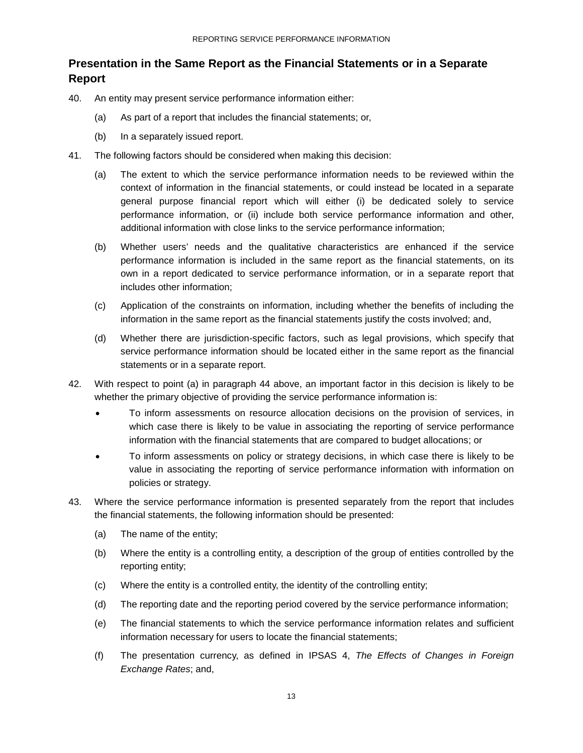## <span id="page-12-0"></span>**Presentation in the Same Report as the Financial Statements or in a Separate Report**

- 40. An entity may present service performance information either:
	- (a) As part of a report that includes the financial statements; or,
	- (b) In a separately issued report.
- 41. The following factors should be considered when making this decision:
	- (a) The extent to which the service performance information needs to be reviewed within the context of information in the financial statements, or could instead be located in a separate general purpose financial report which will either (i) be dedicated solely to service performance information, or (ii) include both service performance information and other, additional information with close links to the service performance information;
	- (b) Whether users' needs and the qualitative characteristics are enhanced if the service performance information is included in the same report as the financial statements, on its own in a report dedicated to service performance information, or in a separate report that includes other information;
	- (c) Application of the constraints on information, including whether the benefits of including the information in the same report as the financial statements justify the costs involved; and,
	- (d) Whether there are jurisdiction-specific factors, such as legal provisions, which specify that service performance information should be located either in the same report as the financial statements or in a separate report.
- 42. With respect to point (a) in paragraph 44 above, an important factor in this decision is likely to be whether the primary objective of providing the service performance information is:
	- To inform assessments on resource allocation decisions on the provision of services, in which case there is likely to be value in associating the reporting of service performance information with the financial statements that are compared to budget allocations; or
	- To inform assessments on policy or strategy decisions, in which case there is likely to be value in associating the reporting of service performance information with information on policies or strategy.
- 43. Where the service performance information is presented separately from the report that includes the financial statements, the following information should be presented:
	- (a) The name of the entity;
	- (b) Where the entity is a controlling entity, a description of the group of entities controlled by the reporting entity;
	- (c) Where the entity is a controlled entity, the identity of the controlling entity;
	- (d) The reporting date and the reporting period covered by the service performance information;
	- (e) The financial statements to which the service performance information relates and sufficient information necessary for users to locate the financial statements;
	- (f) The presentation currency, as defined in IPSAS 4, *The Effects of Changes in Foreign Exchange Rates*; and,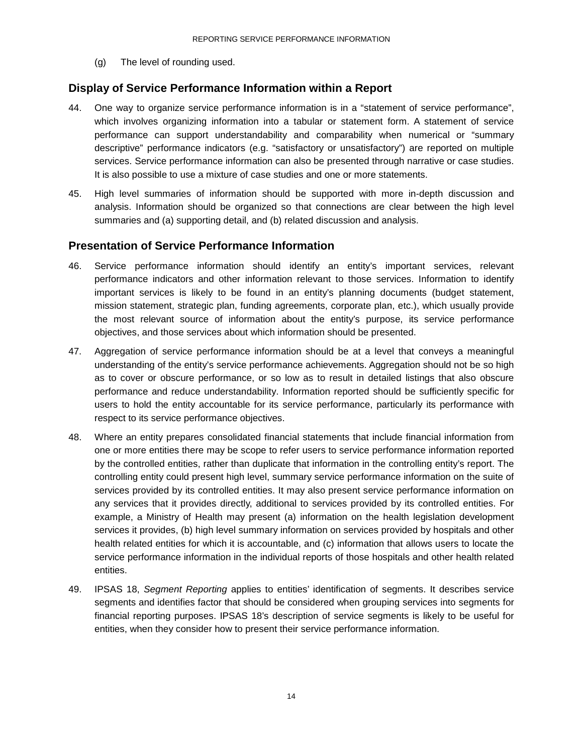(g) The level of rounding used.

#### <span id="page-13-0"></span>**Display of Service Performance Information within a Report**

- 44. One way to organize service performance information is in a "statement of service performance", which involves organizing information into a tabular or statement form. A statement of service performance can support understandability and comparability when numerical or "summary descriptive" performance indicators (e.g. "satisfactory or unsatisfactory") are reported on multiple services. Service performance information can also be presented through narrative or case studies. It is also possible to use a mixture of case studies and one or more statements.
- 45. High level summaries of information should be supported with more in-depth discussion and analysis. Information should be organized so that connections are clear between the high level summaries and (a) supporting detail, and (b) related discussion and analysis.

#### <span id="page-13-1"></span>**Presentation of Service Performance Information**

- 46. Service performance information should identify an entity's important services, relevant performance indicators and other information relevant to those services. Information to identify important services is likely to be found in an entity's planning documents (budget statement, mission statement, strategic plan, funding agreements, corporate plan, etc.), which usually provide the most relevant source of information about the entity's purpose, its service performance objectives, and those services about which information should be presented.
- 47. Aggregation of service performance information should be at a level that conveys a meaningful understanding of the entity's service performance achievements. Aggregation should not be so high as to cover or obscure performance, or so low as to result in detailed listings that also obscure performance and reduce understandability. Information reported should be sufficiently specific for users to hold the entity accountable for its service performance, particularly its performance with respect to its service performance objectives.
- 48. Where an entity prepares consolidated financial statements that include financial information from one or more entities there may be scope to refer users to service performance information reported by the controlled entities, rather than duplicate that information in the controlling entity's report. The controlling entity could present high level, summary service performance information on the suite of services provided by its controlled entities. It may also present service performance information on any services that it provides directly, additional to services provided by its controlled entities. For example, a Ministry of Health may present (a) information on the health legislation development services it provides, (b) high level summary information on services provided by hospitals and other health related entities for which it is accountable, and (c) information that allows users to locate the service performance information in the individual reports of those hospitals and other health related entities.
- 49. IPSAS 18, *Segment Reporting* applies to entities' identification of segments. It describes service segments and identifies factor that should be considered when grouping services into segments for financial reporting purposes. IPSAS 18's description of service segments is likely to be useful for entities, when they consider how to present their service performance information.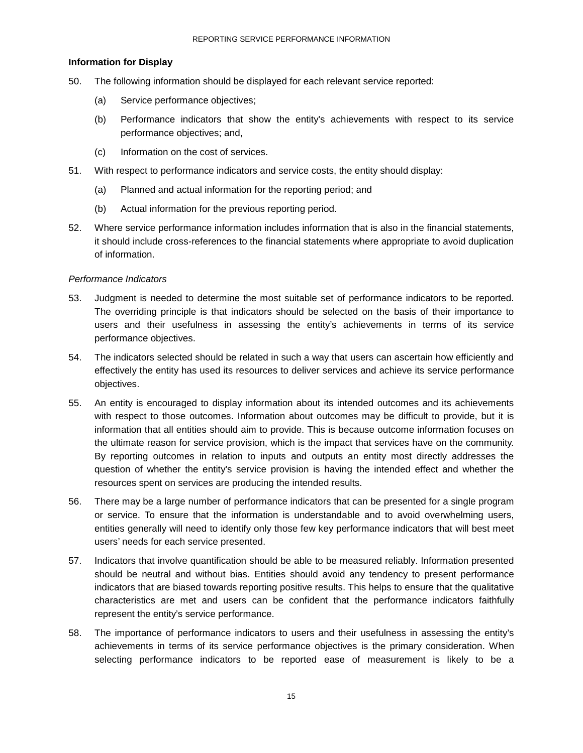#### **Information for Display**

- 50. The following information should be displayed for each relevant service reported:
	- (a) Service performance objectives;
	- (b) Performance indicators that show the entity's achievements with respect to its service performance objectives; and,
	- (c) Information on the cost of services.
- 51. With respect to performance indicators and service costs, the entity should display:
	- (a) Planned and actual information for the reporting period; and
	- (b) Actual information for the previous reporting period.
- 52. Where service performance information includes information that is also in the financial statements, it should include cross-references to the financial statements where appropriate to avoid duplication of information.

#### *Performance Indicators*

- 53. Judgment is needed to determine the most suitable set of performance indicators to be reported. The overriding principle is that indicators should be selected on the basis of their importance to users and their usefulness in assessing the entity's achievements in terms of its service performance objectives.
- 54. The indicators selected should be related in such a way that users can ascertain how efficiently and effectively the entity has used its resources to deliver services and achieve its service performance objectives.
- 55. An entity is encouraged to display information about its intended outcomes and its achievements with respect to those outcomes. Information about outcomes may be difficult to provide, but it is information that all entities should aim to provide. This is because outcome information focuses on the ultimate reason for service provision, which is the impact that services have on the community. By reporting outcomes in relation to inputs and outputs an entity most directly addresses the question of whether the entity's service provision is having the intended effect and whether the resources spent on services are producing the intended results.
- 56. There may be a large number of performance indicators that can be presented for a single program or service. To ensure that the information is understandable and to avoid overwhelming users, entities generally will need to identify only those few key performance indicators that will best meet users' needs for each service presented.
- 57. Indicators that involve quantification should be able to be measured reliably. Information presented should be neutral and without bias. Entities should avoid any tendency to present performance indicators that are biased towards reporting positive results. This helps to ensure that the qualitative characteristics are met and users can be confident that the performance indicators faithfully represent the entity's service performance.
- 58. The importance of performance indicators to users and their usefulness in assessing the entity's achievements in terms of its service performance objectives is the primary consideration. When selecting performance indicators to be reported ease of measurement is likely to be a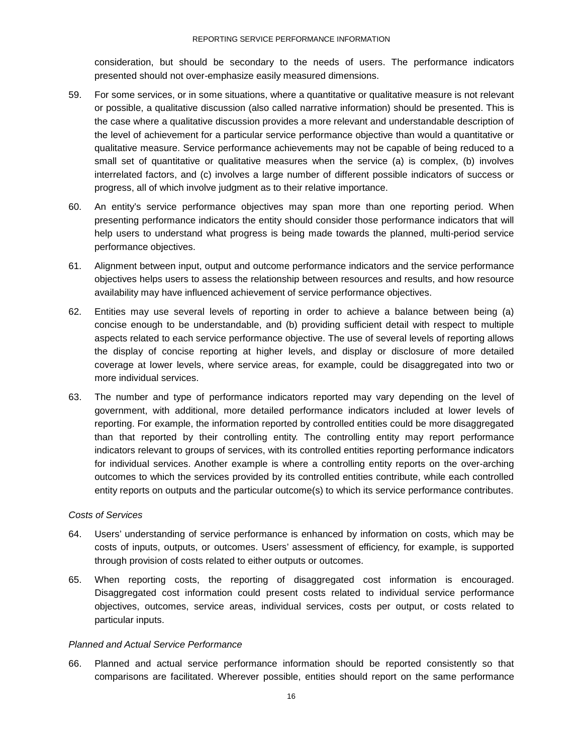consideration, but should be secondary to the needs of users. The performance indicators presented should not over-emphasize easily measured dimensions.

- 59. For some services, or in some situations, where a quantitative or qualitative measure is not relevant or possible, a qualitative discussion (also called narrative information) should be presented. This is the case where a qualitative discussion provides a more relevant and understandable description of the level of achievement for a particular service performance objective than would a quantitative or qualitative measure. Service performance achievements may not be capable of being reduced to a small set of quantitative or qualitative measures when the service (a) is complex, (b) involves interrelated factors, and (c) involves a large number of different possible indicators of success or progress, all of which involve judgment as to their relative importance.
- 60. An entity's service performance objectives may span more than one reporting period. When presenting performance indicators the entity should consider those performance indicators that will help users to understand what progress is being made towards the planned, multi-period service performance objectives.
- 61. Alignment between input, output and outcome performance indicators and the service performance objectives helps users to assess the relationship between resources and results, and how resource availability may have influenced achievement of service performance objectives.
- 62. Entities may use several levels of reporting in order to achieve a balance between being (a) concise enough to be understandable, and (b) providing sufficient detail with respect to multiple aspects related to each service performance objective. The use of several levels of reporting allows the display of concise reporting at higher levels, and display or disclosure of more detailed coverage at lower levels, where service areas, for example, could be disaggregated into two or more individual services.
- 63. The number and type of performance indicators reported may vary depending on the level of government, with additional, more detailed performance indicators included at lower levels of reporting. For example, the information reported by controlled entities could be more disaggregated than that reported by their controlling entity. The controlling entity may report performance indicators relevant to groups of services, with its controlled entities reporting performance indicators for individual services. Another example is where a controlling entity reports on the over-arching outcomes to which the services provided by its controlled entities contribute, while each controlled entity reports on outputs and the particular outcome(s) to which its service performance contributes.

#### *Costs of Services*

- 64. Users' understanding of service performance is enhanced by information on costs, which may be costs of inputs, outputs, or outcomes. Users' assessment of efficiency, for example, is supported through provision of costs related to either outputs or outcomes.
- 65. When reporting costs, the reporting of disaggregated cost information is encouraged. Disaggregated cost information could present costs related to individual service performance objectives, outcomes, service areas, individual services, costs per output, or costs related to particular inputs.

#### *Planned and Actual Service Performance*

66. Planned and actual service performance information should be reported consistently so that comparisons are facilitated. Wherever possible, entities should report on the same performance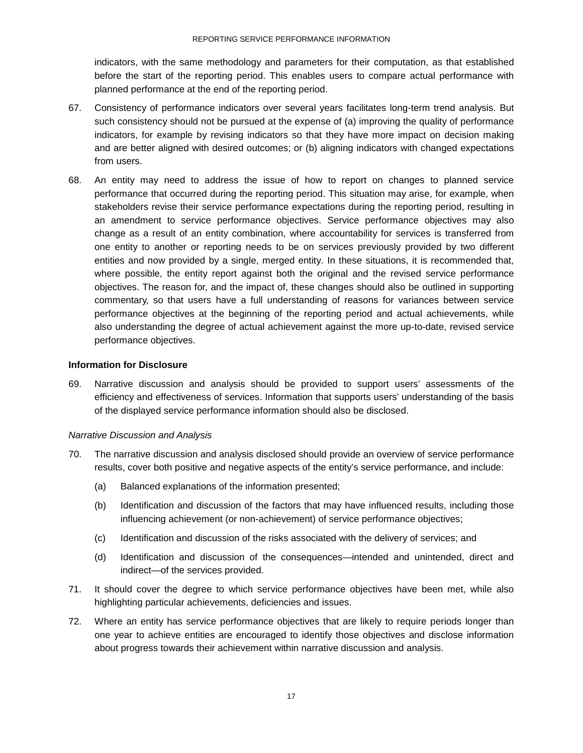indicators, with the same methodology and parameters for their computation, as that established before the start of the reporting period. This enables users to compare actual performance with planned performance at the end of the reporting period.

- 67. Consistency of performance indicators over several years facilitates long-term trend analysis. But such consistency should not be pursued at the expense of (a) improving the quality of performance indicators, for example by revising indicators so that they have more impact on decision making and are better aligned with desired outcomes; or (b) aligning indicators with changed expectations from users.
- 68. An entity may need to address the issue of how to report on changes to planned service performance that occurred during the reporting period. This situation may arise, for example, when stakeholders revise their service performance expectations during the reporting period, resulting in an amendment to service performance objectives. Service performance objectives may also change as a result of an entity combination, where accountability for services is transferred from one entity to another or reporting needs to be on services previously provided by two different entities and now provided by a single, merged entity. In these situations, it is recommended that, where possible, the entity report against both the original and the revised service performance objectives. The reason for, and the impact of, these changes should also be outlined in supporting commentary, so that users have a full understanding of reasons for variances between service performance objectives at the beginning of the reporting period and actual achievements, while also understanding the degree of actual achievement against the more up-to-date, revised service performance objectives.

#### **Information for Disclosure**

69. Narrative discussion and analysis should be provided to support users' assessments of the efficiency and effectiveness of services. Information that supports users' understanding of the basis of the displayed service performance information should also be disclosed.

#### *Narrative Discussion and Analysis*

- 70. The narrative discussion and analysis disclosed should provide an overview of service performance results, cover both positive and negative aspects of the entity's service performance, and include:
	- (a) Balanced explanations of the information presented;
	- (b) Identification and discussion of the factors that may have influenced results, including those influencing achievement (or non-achievement) of service performance objectives;
	- (c) Identification and discussion of the risks associated with the delivery of services; and
	- (d) Identification and discussion of the consequences—intended and unintended, direct and indirect—of the services provided.
- 71. It should cover the degree to which service performance objectives have been met, while also highlighting particular achievements, deficiencies and issues.
- 72. Where an entity has service performance objectives that are likely to require periods longer than one year to achieve entities are encouraged to identify those objectives and disclose information about progress towards their achievement within narrative discussion and analysis.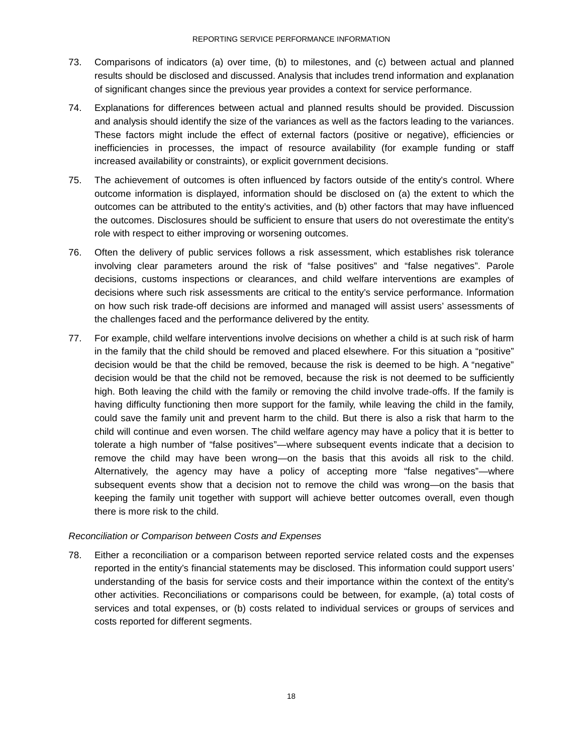- 73. Comparisons of indicators (a) over time, (b) to milestones, and (c) between actual and planned results should be disclosed and discussed. Analysis that includes trend information and explanation of significant changes since the previous year provides a context for service performance.
- 74. Explanations for differences between actual and planned results should be provided. Discussion and analysis should identify the size of the variances as well as the factors leading to the variances. These factors might include the effect of external factors (positive or negative), efficiencies or inefficiencies in processes, the impact of resource availability (for example funding or staff increased availability or constraints), or explicit government decisions.
- 75. The achievement of outcomes is often influenced by factors outside of the entity's control. Where outcome information is displayed, information should be disclosed on (a) the extent to which the outcomes can be attributed to the entity's activities, and (b) other factors that may have influenced the outcomes. Disclosures should be sufficient to ensure that users do not overestimate the entity's role with respect to either improving or worsening outcomes.
- 76. Often the delivery of public services follows a risk assessment, which establishes risk tolerance involving clear parameters around the risk of "false positives" and "false negatives". Parole decisions, customs inspections or clearances, and child welfare interventions are examples of decisions where such risk assessments are critical to the entity's service performance. Information on how such risk trade-off decisions are informed and managed will assist users' assessments of the challenges faced and the performance delivered by the entity.
- 77. For example, child welfare interventions involve decisions on whether a child is at such risk of harm in the family that the child should be removed and placed elsewhere. For this situation a "positive" decision would be that the child be removed, because the risk is deemed to be high. A "negative" decision would be that the child not be removed, because the risk is not deemed to be sufficiently high. Both leaving the child with the family or removing the child involve trade-offs. If the family is having difficulty functioning then more support for the family, while leaving the child in the family, could save the family unit and prevent harm to the child. But there is also a risk that harm to the child will continue and even worsen. The child welfare agency may have a policy that it is better to tolerate a high number of "false positives"—where subsequent events indicate that a decision to remove the child may have been wrong—on the basis that this avoids all risk to the child. Alternatively, the agency may have a policy of accepting more "false negatives"—where subsequent events show that a decision not to remove the child was wrong—on the basis that keeping the family unit together with support will achieve better outcomes overall, even though there is more risk to the child.

#### *Reconciliation or Comparison between Costs and Expenses*

78. Either a reconciliation or a comparison between reported service related costs and the expenses reported in the entity's financial statements may be disclosed. This information could support users' understanding of the basis for service costs and their importance within the context of the entity's other activities. Reconciliations or comparisons could be between, for example, (a) total costs of services and total expenses, or (b) costs related to individual services or groups of services and costs reported for different segments.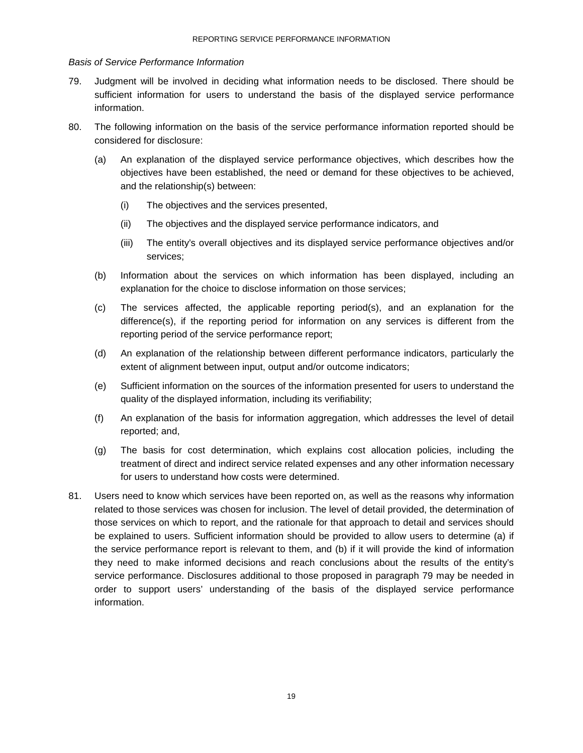#### *Basis of Service Performance Information*

- 79. Judgment will be involved in deciding what information needs to be disclosed. There should be sufficient information for users to understand the basis of the displayed service performance information.
- 80. The following information on the basis of the service performance information reported should be considered for disclosure:
	- (a) An explanation of the displayed service performance objectives, which describes how the objectives have been established, the need or demand for these objectives to be achieved, and the relationship(s) between:
		- (i) The objectives and the services presented,
		- (ii) The objectives and the displayed service performance indicators, and
		- (iii) The entity's overall objectives and its displayed service performance objectives and/or services;
	- (b) Information about the services on which information has been displayed, including an explanation for the choice to disclose information on those services;
	- (c) The services affected, the applicable reporting period(s), and an explanation for the difference(s), if the reporting period for information on any services is different from the reporting period of the service performance report;
	- (d) An explanation of the relationship between different performance indicators, particularly the extent of alignment between input, output and/or outcome indicators;
	- (e) Sufficient information on the sources of the information presented for users to understand the quality of the displayed information, including its verifiability;
	- (f) An explanation of the basis for information aggregation, which addresses the level of detail reported; and,
	- (g) The basis for cost determination, which explains cost allocation policies, including the treatment of direct and indirect service related expenses and any other information necessary for users to understand how costs were determined.
- 81. Users need to know which services have been reported on, as well as the reasons why information related to those services was chosen for inclusion. The level of detail provided, the determination of those services on which to report, and the rationale for that approach to detail and services should be explained to users. Sufficient information should be provided to allow users to determine (a) if the service performance report is relevant to them, and (b) if it will provide the kind of information they need to make informed decisions and reach conclusions about the results of the entity's service performance. Disclosures additional to those proposed in paragraph 79 may be needed in order to support users' understanding of the basis of the displayed service performance information.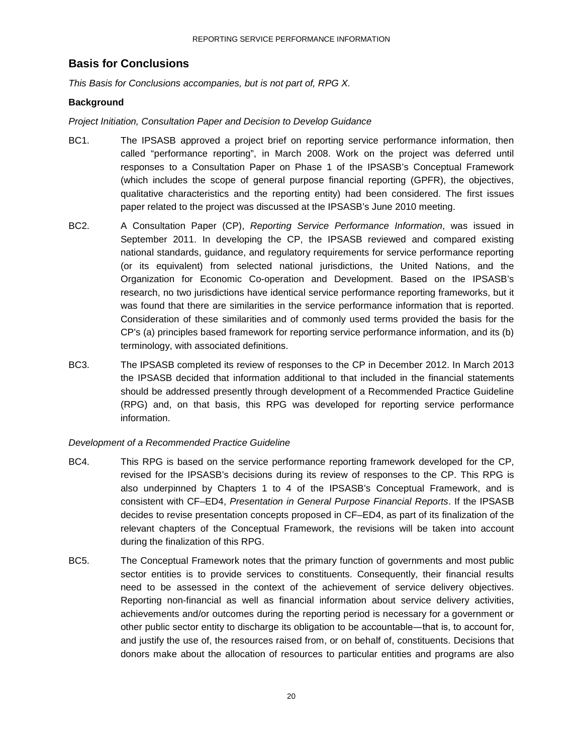## <span id="page-19-0"></span>**Basis for Conclusions**

*This Basis for Conclusions accompanies, but is not part of, RPG X.*

#### **Background**

#### *Project Initiation, Consultation Paper and Decision to Develop Guidance*

- BC1. The IPSASB approved a project brief on reporting service [performance in](http://www.ifac.org/PublicSector/Meeting-FileDL.php?FID=5531)formation, then called "performance reporting", in March 2008. Work on the project was deferred until responses to a Consultation Paper on Phase 1 of the IPSASB's Conceptual Framework (which includes the scope of general purpose financial reporting (GPFR), the objectives, qualitative characteristics and the reporting entity) had been considered. The first issues paper related to the project was discussed at the IPSASB's June 2010 meeting.
- BC2. A Consultation Paper (CP), *Reporting Service Performance Information*, was issued in September 2011. In developing the CP, the IPSASB reviewed and compared existing national standards, guidance, and regulatory requirements for service performance reporting (or its equivalent) from selected national jurisdictions, the United Nations, and the Organization for Economic Co-operation and Development. Based on the IPSASB's research, no two jurisdictions have identical service performance reporting frameworks, but it was found that there are similarities in the service performance information that is reported. Consideration of these similarities and of commonly used terms provided the basis for the CP's (a) principles based framework for reporting service performance information, and its (b) terminology, with associated definitions.
- BC3. The IPSASB completed its review of responses to the CP in December 2012. In March 2013 the IPSASB decided that information additional to that included in the financial statements should be addressed presently through development of a Recommended Practice Guideline (RPG) and, on that basis, this RPG was developed for reporting service performance information.

#### *Development of a Recommended Practice Guideline*

- BC4. This RPG is based on the service performance reporting framework developed for the CP, revised for the IPSASB's decisions during its review of responses to the CP. This RPG is also underpinned by Chapters 1 to 4 of the IPSASB's Conceptual Framework, and is consistent with CF–ED4, *Presentation in General Purpose Financial Reports*. If the IPSASB decides to revise presentation concepts proposed in CF–ED4, as part of its finalization of the relevant chapters of the Conceptual Framework, the revisions will be taken into account during the finalization of this RPG.
- BC5. The Conceptual Framework notes that the primary function of governments and most public sector entities is to provide services to constituents. Consequently, their financial results need to be assessed in the context of the achievement of service delivery objectives. Reporting non-financial as well as financial information about service delivery activities, achievements and/or outcomes during the reporting period is necessary for a government or other public sector entity to discharge its obligation to be accountable―that is, to account for, and justify the use of, the resources raised from, or on behalf of, constituents. Decisions that donors make about the allocation of resources to particular entities and programs are also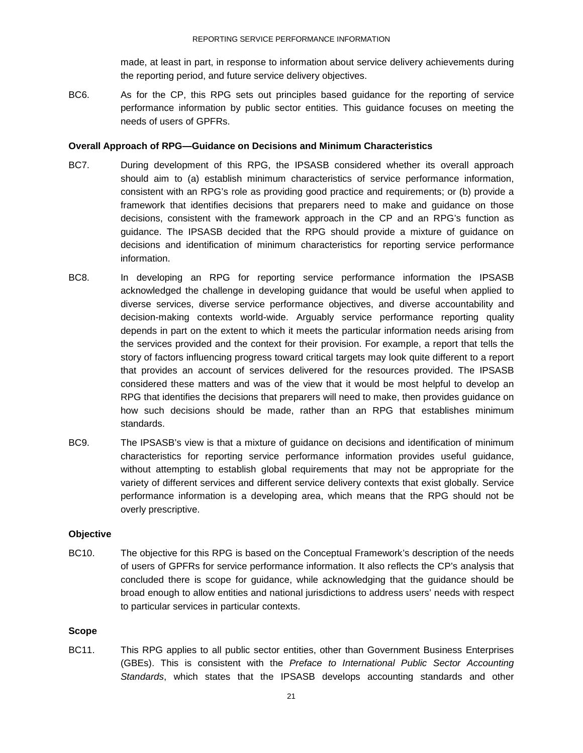made, at least in part, in response to information about service delivery achievements during the reporting period, and future service delivery objectives.

BC6. As for the CP, this RPG sets out principles based guidance for the reporting of service performance information by public sector entities. This guidance focuses on meeting the needs of users of GPFRs.

#### **Overall Approach of RPG—Guidance on Decisions and Minimum Characteristics**

- BC7. During development of this RPG, the IPSASB considered whether its overall approach should aim to (a) establish minimum characteristics of service performance information, consistent with an RPG's role as providing good practice and requirements; or (b) provide a framework that identifies decisions that preparers need to make and guidance on those decisions, consistent with the framework approach in the CP and an RPG's function as guidance. The IPSASB decided that the RPG should provide a mixture of guidance on decisions and identification of minimum characteristics for reporting service performance information.
- BC8. In developing an RPG for reporting service performance information the IPSASB acknowledged the challenge in developing guidance that would be useful when applied to diverse services, diverse service performance objectives, and diverse accountability and decision-making contexts world-wide. Arguably service performance reporting quality depends in part on the extent to which it meets the particular information needs arising from the services provided and the context for their provision. For example, a report that tells the story of factors influencing progress toward critical targets may look quite different to a report that provides an account of services delivered for the resources provided. The IPSASB considered these matters and was of the view that it would be most helpful to develop an RPG that identifies the decisions that preparers will need to make, then provides guidance on how such decisions should be made, rather than an RPG that establishes minimum standards.
- BC9. The IPSASB's view is that a mixture of guidance on decisions and identification of minimum characteristics for reporting service performance information provides useful guidance, without attempting to establish global requirements that may not be appropriate for the variety of different services and different service delivery contexts that exist globally. Service performance information is a developing area, which means that the RPG should not be overly prescriptive.

#### **Objective**

BC10. The objective for this RPG is based on the Conceptual Framework's description of the needs of users of GPFRs for service performance information. It also reflects the CP's analysis that concluded there is scope for guidance, while acknowledging that the guidance should be broad enough to allow entities and national jurisdictions to address users' needs with respect to particular services in particular contexts.

#### **Scope**

BC11. This RPG applies to all public sector entities, other than Government Business Enterprises (GBEs). This is consistent with the *Preface to International Public Sector Accounting Standards*, which states that the IPSASB develops accounting standards and other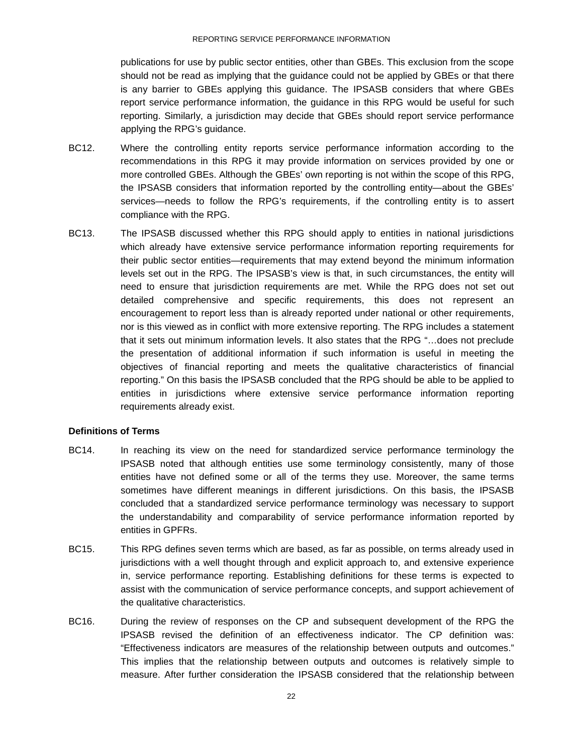publications for use by public sector entities, other than GBEs. This exclusion from the scope should not be read as implying that the guidance could not be applied by GBEs or that there is any barrier to GBEs applying this guidance. The IPSASB considers that where GBEs report service performance information, the guidance in this RPG would be useful for such reporting. Similarly, a jurisdiction may decide that GBEs should report service performance applying the RPG's guidance.

- BC12. Where the controlling entity reports service performance information according to the recommendations in this RPG it may provide information on services provided by one or more controlled GBEs. Although the GBEs' own reporting is not within the scope of this RPG, the IPSASB considers that information reported by the controlling entity—about the GBEs' services—needs to follow the RPG's requirements, if the controlling entity is to assert compliance with the RPG.
- BC13. The IPSASB discussed whether this RPG should apply to entities in national jurisdictions which already have extensive service performance information reporting requirements for their public sector entities—requirements that may extend beyond the minimum information levels set out in the RPG. The IPSASB's view is that, in such circumstances, the entity will need to ensure that jurisdiction requirements are met. While the RPG does not set out detailed comprehensive and specific requirements, this does not represent an encouragement to report less than is already reported under national or other requirements, nor is this viewed as in conflict with more extensive reporting. The RPG includes a statement that it sets out minimum information levels. It also states that the RPG "…does not preclude the presentation of additional information if such information is useful in meeting the objectives of financial reporting and meets the qualitative characteristics of financial reporting." On this basis the IPSASB concluded that the RPG should be able to be applied to entities in jurisdictions where extensive service performance information reporting requirements already exist.

#### **Definitions of Terms**

- BC14. In reaching its view on the need for standardized service performance terminology the IPSASB noted that although entities use some terminology consistently, many of those entities have not defined some or all of the terms they use. Moreover, the same terms sometimes have different meanings in different jurisdictions. On this basis, the IPSASB concluded that a standardized service performance terminology was necessary to support the understandability and comparability of service performance information reported by entities in GPFRs.
- BC15. This RPG defines seven terms which are based, as far as possible, on terms already used in jurisdictions with a well thought through and explicit approach to, and extensive experience in, service performance reporting. Establishing definitions for these terms is expected to assist with the communication of service performance concepts, and support achievement of the qualitative characteristics.
- BC16. During the review of responses on the CP and subsequent development of the RPG the IPSASB revised the definition of an effectiveness indicator. The CP definition was: "Effectiveness indicators are measures of the relationship between outputs and outcomes." This implies that the relationship between outputs and outcomes is relatively simple to measure. After further consideration the IPSASB considered that the relationship between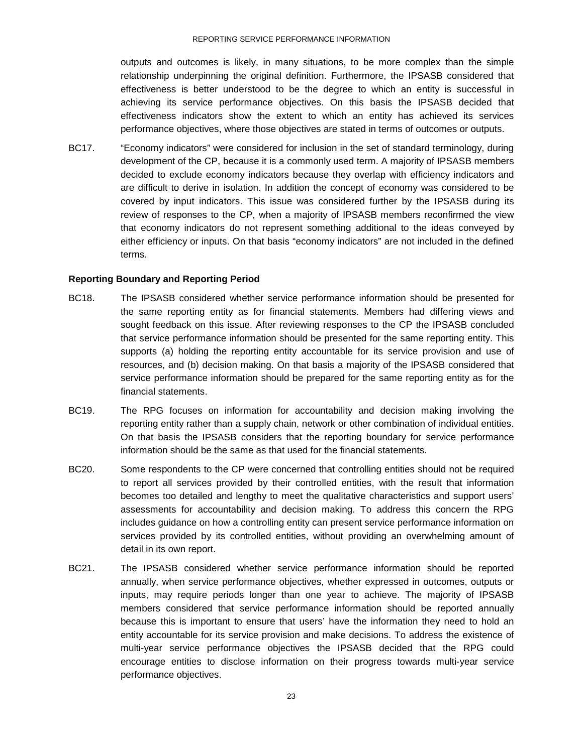#### REPORTING SERVICE PERFORMANCE INFORMATION

outputs and outcomes is likely, in many situations, to be more complex than the simple relationship underpinning the original definition. Furthermore, the IPSASB considered that effectiveness is better understood to be the degree to which an entity is successful in achieving its service performance objectives. On this basis the IPSASB decided that effectiveness indicators show the extent to which an entity has achieved its services performance objectives, where those objectives are stated in terms of outcomes or outputs.

BC17. "Economy indicators" were considered for inclusion in the set of standard terminology, during development of the CP, because it is a commonly used term. A majority of IPSASB members decided to exclude economy indicators because they overlap with efficiency indicators and are difficult to derive in isolation. In addition the concept of economy was considered to be covered by input indicators. This issue was considered further by the IPSASB during its review of responses to the CP, when a majority of IPSASB members reconfirmed the view that economy indicators do not represent something additional to the ideas conveyed by either efficiency or inputs. On that basis "economy indicators" are not included in the defined terms.

#### **Reporting Boundary and Reporting Period**

- BC18. The IPSASB considered whether service performance information should be presented for the same reporting entity as for financial statements. Members had differing views and sought feedback on this issue. After reviewing responses to the CP the IPSASB concluded that service performance information should be presented for the same reporting entity. This supports (a) holding the reporting entity accountable for its service provision and use of resources, and (b) decision making. On that basis a majority of the IPSASB considered that service performance information should be prepared for the same reporting entity as for the financial statements.
- BC19. The RPG focuses on information for accountability and decision making involving the reporting entity rather than a supply chain, network or other combination of individual entities. On that basis the IPSASB considers that the reporting boundary for service performance information should be the same as that used for the financial statements.
- BC20. Some respondents to the CP were concerned that controlling entities should not be required to report all services provided by their controlled entities, with the result that information becomes too detailed and lengthy to meet the qualitative characteristics and support users' assessments for accountability and decision making. To address this concern the RPG includes guidance on how a controlling entity can present service performance information on services provided by its controlled entities, without providing an overwhelming amount of detail in its own report.
- BC21. The IPSASB considered whether service performance information should be reported annually, when service performance objectives, whether expressed in outcomes, outputs or inputs, may require periods longer than one year to achieve. The majority of IPSASB members considered that service performance information should be reported annually because this is important to ensure that users' have the information they need to hold an entity accountable for its service provision and make decisions. To address the existence of multi-year service performance objectives the IPSASB decided that the RPG could encourage entities to disclose information on their progress towards multi-year service performance objectives.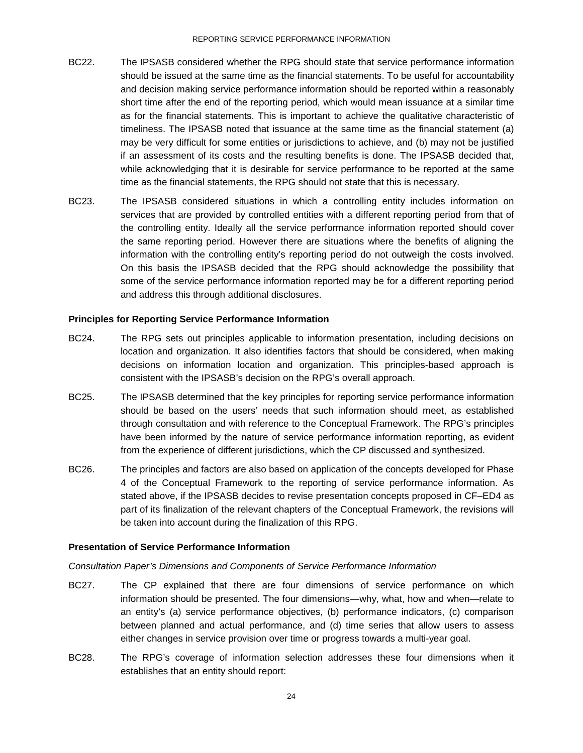- BC22. The IPSASB considered whether the RPG should state that service performance information should be issued at the same time as the financial statements. To be useful for accountability and decision making service performance information should be reported within a reasonably short time after the end of the reporting period, which would mean issuance at a similar time as for the financial statements. This is important to achieve the qualitative characteristic of timeliness. The IPSASB noted that issuance at the same time as the financial statement (a) may be very difficult for some entities or jurisdictions to achieve, and (b) may not be justified if an assessment of its costs and the resulting benefits is done. The IPSASB decided that, while acknowledging that it is desirable for service performance to be reported at the same time as the financial statements, the RPG should not state that this is necessary.
- BC23. The IPSASB considered situations in which a controlling entity includes information on services that are provided by controlled entities with a different reporting period from that of the controlling entity. Ideally all the service performance information reported should cover the same reporting period. However there are situations where the benefits of aligning the information with the controlling entity's reporting period do not outweigh the costs involved. On this basis the IPSASB decided that the RPG should acknowledge the possibility that some of the service performance information reported may be for a different reporting period and address this through additional disclosures.

#### **Principles for Reporting Service Performance Information**

- BC24. The RPG sets out principles applicable to information presentation, including decisions on location and organization. It also identifies factors that should be considered, when making decisions on information location and organization. This principles-based approach is consistent with the IPSASB's decision on the RPG's overall approach.
- BC25. The IPSASB determined that the key principles for reporting service performance information should be based on the users' needs that such information should meet, as established through consultation and with reference to the Conceptual Framework. The RPG's principles have been informed by the nature of service performance information reporting, as evident from the experience of different jurisdictions, which the CP discussed and synthesized.
- BC26. The principles and factors are also based on application of the concepts developed for Phase 4 of the Conceptual Framework to the reporting of service performance information. As stated above, if the IPSASB decides to revise presentation concepts proposed in CF–ED4 as part of its finalization of the relevant chapters of the Conceptual Framework, the revisions will be taken into account during the finalization of this RPG.

#### **Presentation of Service Performance Information**

#### *Consultation Paper's Dimensions and Components of Service Performance Information*

- BC27. The CP explained that there are four dimensions of service performance on which information should be presented. The four dimensions—why, what, how and when—relate to an entity's (a) service performance objectives, (b) performance indicators, (c) comparison between planned and actual performance, and (d) time series that allow users to assess either changes in service provision over time or progress towards a multi-year goal.
- BC28. The RPG's coverage of information selection addresses these four dimensions when it establishes that an entity should report: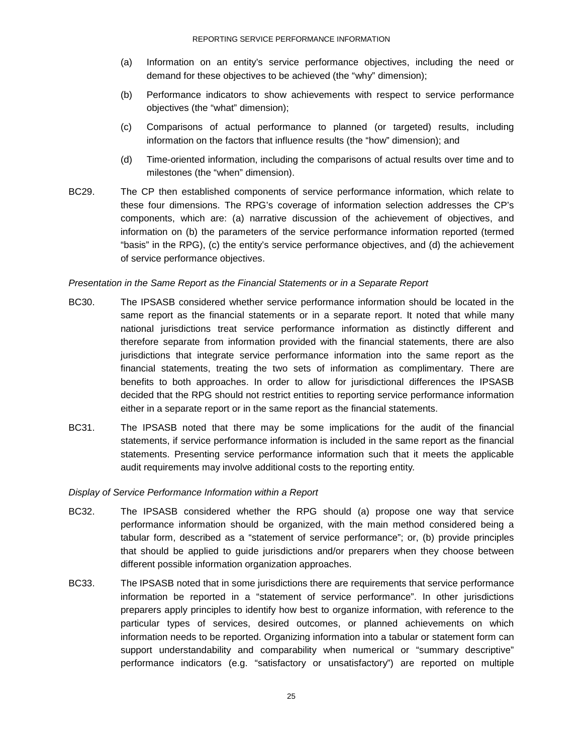- (a) Information on an entity's service performance objectives, including the need or demand for these objectives to be achieved (the "why" dimension);
- (b) Performance indicators to show achievements with respect to service performance objectives (the "what" dimension);
- (c) Comparisons of actual performance to planned (or targeted) results, including information on the factors that influence results (the "how" dimension); and
- (d) Time-oriented information, including the comparisons of actual results over time and to milestones (the "when" dimension).
- BC29. The CP then established components of service performance information, which relate to these four dimensions. The RPG's coverage of information selection addresses the CP's components, which are: (a) narrative discussion of the achievement of objectives, and information on (b) the parameters of the service performance information reported (termed "basis" in the RPG), (c) the entity's service performance objectives, and (d) the achievement of service performance objectives.

#### *Presentation in the Same Report as the Financial Statements or in a Separate Report*

- BC30. The IPSASB considered whether service performance information should be located in the same report as the financial statements or in a separate report. It noted that while many national jurisdictions treat service performance information as distinctly different and therefore separate from information provided with the financial statements, there are also jurisdictions that integrate service performance information into the same report as the financial statements, treating the two sets of information as complimentary. There are benefits to both approaches. In order to allow for jurisdictional differences the IPSASB decided that the RPG should not restrict entities to reporting service performance information either in a separate report or in the same report as the financial statements.
- BC31. The IPSASB noted that there may be some implications for the audit of the financial statements, if service performance information is included in the same report as the financial statements. Presenting service performance information such that it meets the applicable audit requirements may involve additional costs to the reporting entity*.*

#### *Display of Service Performance Information within a Report*

- BC32. The IPSASB considered whether the RPG should (a) propose one way that service performance information should be organized, with the main method considered being a tabular form, described as a "statement of service performance"; or, (b) provide principles that should be applied to guide jurisdictions and/or preparers when they choose between different possible information organization approaches.
- BC33. The IPSASB noted that in some jurisdictions there are requirements that service performance information be reported in a "statement of service performance". In other jurisdictions preparers apply principles to identify how best to organize information, with reference to the particular types of services, desired outcomes, or planned achievements on which information needs to be reported. Organizing information into a tabular or statement form can support understandability and comparability when numerical or "summary descriptive" performance indicators (e.g. "satisfactory or unsatisfactory") are reported on multiple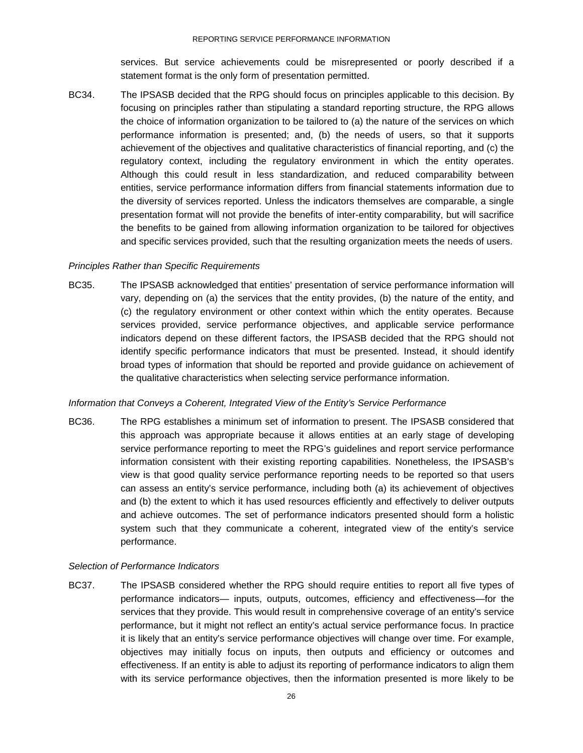services. But service achievements could be misrepresented or poorly described if a statement format is the only form of presentation permitted.

BC34. The IPSASB decided that the RPG should focus on principles applicable to this decision. By focusing on principles rather than stipulating a standard reporting structure, the RPG allows the choice of information organization to be tailored to (a) the nature of the services on which performance information is presented; and, (b) the needs of users, so that it supports achievement of the objectives and qualitative characteristics of financial reporting, and (c) the regulatory context, including the regulatory environment in which the entity operates. Although this could result in less standardization, and reduced comparability between entities, service performance information differs from financial statements information due to the diversity of services reported. Unless the indicators themselves are comparable, a single presentation format will not provide the benefits of inter-entity comparability, but will sacrifice the benefits to be gained from allowing information organization to be tailored for objectives and specific services provided, such that the resulting organization meets the needs of users.

#### *Principles Rather than Specific Requirements*

BC35. The IPSASB acknowledged that entities' presentation of service performance information will vary, depending on (a) the services that the entity provides, (b) the nature of the entity, and (c) the regulatory environment or other context within which the entity operates. Because services provided, service performance objectives, and applicable service performance indicators depend on these different factors, the IPSASB decided that the RPG should not identify specific performance indicators that must be presented. Instead, it should identify broad types of information that should be reported and provide guidance on achievement of the qualitative characteristics when selecting service performance information.

#### *Information that Conveys a Coherent, Integrated View of the Entity's Service Performance*

BC36. The RPG establishes a minimum set of information to present. The IPSASB considered that this approach was appropriate because it allows entities at an early stage of developing service performance reporting to meet the RPG's guidelines and report service performance information consistent with their existing reporting capabilities. Nonetheless, the IPSASB's view is that good quality service performance reporting needs to be reported so that users can assess an entity's service performance, including both (a) its achievement of objectives and (b) the extent to which it has used resources efficiently and effectively to deliver outputs and achieve outcomes. The set of performance indicators presented should form a holistic system such that they communicate a coherent, integrated view of the entity's service performance.

#### *Selection of Performance Indicators*

BC37. The IPSASB considered whether the RPG should require entities to report all five types of performance indicators— inputs, outputs, outcomes, efficiency and effectiveness—for the services that they provide. This would result in comprehensive coverage of an entity's service performance, but it might not reflect an entity's actual service performance focus. In practice it is likely that an entity's service performance objectives will change over time. For example, objectives may initially focus on inputs, then outputs and efficiency or outcomes and effectiveness. If an entity is able to adjust its reporting of performance indicators to align them with its service performance objectives, then the information presented is more likely to be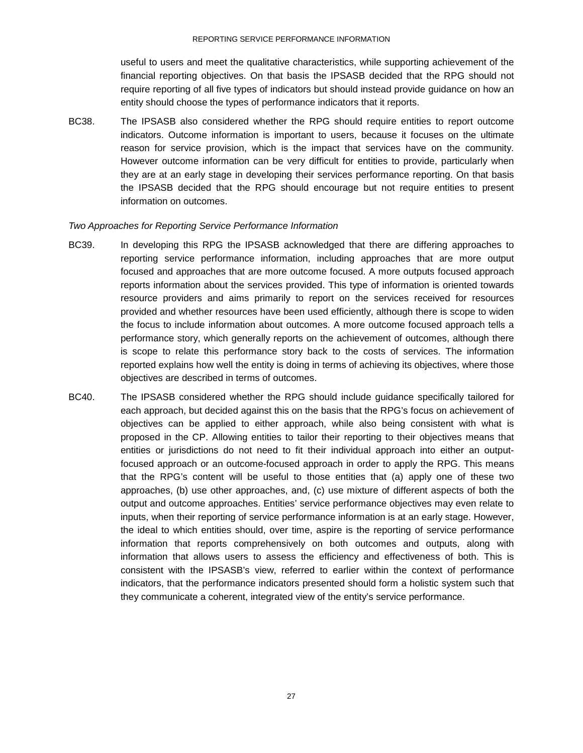useful to users and meet the qualitative characteristics, while supporting achievement of the financial reporting objectives. On that basis the IPSASB decided that the RPG should not require reporting of all five types of indicators but should instead provide guidance on how an entity should choose the types of performance indicators that it reports.

BC38. The IPSASB also considered whether the RPG should require entities to report outcome indicators. Outcome information is important to users, because it focuses on the ultimate reason for service provision, which is the impact that services have on the community. However outcome information can be very difficult for entities to provide, particularly when they are at an early stage in developing their services performance reporting. On that basis the IPSASB decided that the RPG should encourage but not require entities to present information on outcomes.

#### *Two Approaches for Reporting Service Performance Information*

- BC39. In developing this RPG the IPSASB acknowledged that there are differing approaches to reporting service performance information, including approaches that are more output focused and approaches that are more outcome focused. A more outputs focused approach reports information about the services provided. This type of information is oriented towards resource providers and aims primarily to report on the services received for resources provided and whether resources have been used efficiently, although there is scope to widen the focus to include information about outcomes. A more outcome focused approach tells a performance story, which generally reports on the achievement of outcomes, although there is scope to relate this performance story back to the costs of services. The information reported explains how well the entity is doing in terms of achieving its objectives, where those objectives are described in terms of outcomes.
- BC40. The IPSASB considered whether the RPG should include guidance specifically tailored for each approach, but decided against this on the basis that the RPG's focus on achievement of objectives can be applied to either approach, while also being consistent with what is proposed in the CP. Allowing entities to tailor their reporting to their objectives means that entities or jurisdictions do not need to fit their individual approach into either an outputfocused approach or an outcome-focused approach in order to apply the RPG. This means that the RPG's content will be useful to those entities that (a) apply one of these two approaches, (b) use other approaches, and, (c) use mixture of different aspects of both the output and outcome approaches. Entities' service performance objectives may even relate to inputs, when their reporting of service performance information is at an early stage. However, the ideal to which entities should, over time, aspire is the reporting of service performance information that reports comprehensively on both outcomes and outputs, along with information that allows users to assess the efficiency and effectiveness of both. This is consistent with the IPSASB's view, referred to earlier within the context of performance indicators, that the performance indicators presented should form a holistic system such that they communicate a coherent, integrated view of the entity's service performance.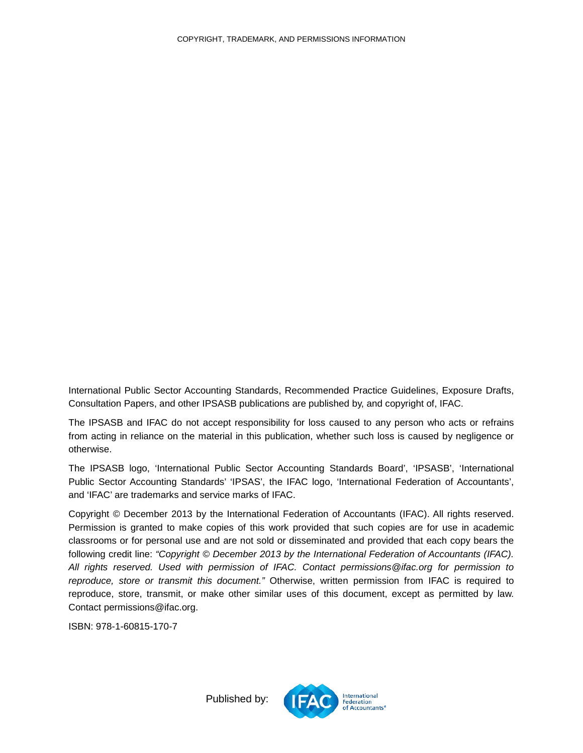International Public Sector Accounting Standards, Recommended Practice Guidelines, Exposure Drafts, Consultation Papers, and other IPSASB publications are published by, and copyright of, IFAC.

The IPSASB and IFAC do not accept responsibility for loss caused to any person who acts or refrains from acting in reliance on the material in this publication, whether such loss is caused by negligence or otherwise.

The IPSASB logo, 'International Public Sector Accounting Standards Board', 'IPSASB', 'International Public Sector Accounting Standards' 'IPSAS', the IFAC logo, 'International Federation of Accountants', and 'IFAC' are trademarks and service marks of IFAC.

<span id="page-27-0"></span>Copyright © December 2013 by the International Federation of Accountants (IFAC). All rights reserved. Permission is granted to make copies of this work provided that such copies are for use in academic classrooms or for personal use and are not sold or disseminated and provided that each copy bears the following credit line: *"Copyright © December 2013 by the International Federation of Accountants (IFAC). All rights reserved. Used with permission of IFAC. Contact permissions@ifac.org for permission to reproduce, store or transmit this document."* Otherwise, written permission from IFAC is required to reproduce, store, transmit, or make other similar uses of this document, except as permitted by law. Contact permissions@ifac.org.

ISBN: 978-1-60815-170-7



Published by: